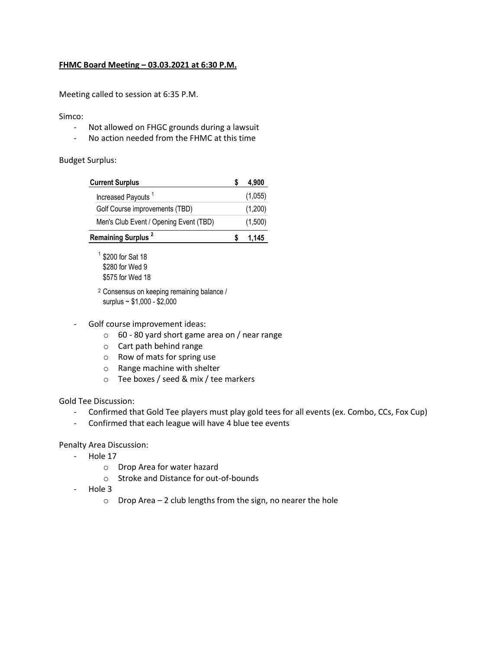## **FHMC Board Meeting – 03.03.2021 at 6:30 P.M.**

Meeting called to session at 6:35 P.M.

## Simco:

- Not allowed on FHGC grounds during a lawsuit
- No action needed from the FHMC at this time

## Budget Surplus:

| <b>Current Surplus</b>                 | 4,900   |
|----------------------------------------|---------|
| Increased Payouts <sup>1</sup>         | (1,055) |
| Golf Course improvements (TBD)         | (1,200) |
| Men's Club Event / Opening Event (TBD) | (1,500) |
| Remaining Surplus <sup>2</sup>         | 1.145   |

1 \$200 for Sat 18 \$280 for Wed 9 \$575 for Wed 18

<sup>2</sup> Consensus on keeping remaining balance / surplus ~ \$1,000 - \$2,000

- Golf course improvement ideas:
	- o 60 80 yard short game area on / near range
	- o Cart path behind range
	- o Row of mats for spring use
	- o Range machine with shelter
	- o Tee boxes / seed & mix / tee markers

## Gold Tee Discussion:

- Confirmed that Gold Tee players must play gold tees for all events (ex. Combo, CCs, Fox Cup)
- Confirmed that each league will have 4 blue tee events

Penalty Area Discussion:

- Hole 17
	- o Drop Area for water hazard
	- o Stroke and Distance for out-of-bounds
- Hole 3
	- $\circ$  Drop Area 2 club lengths from the sign, no nearer the hole